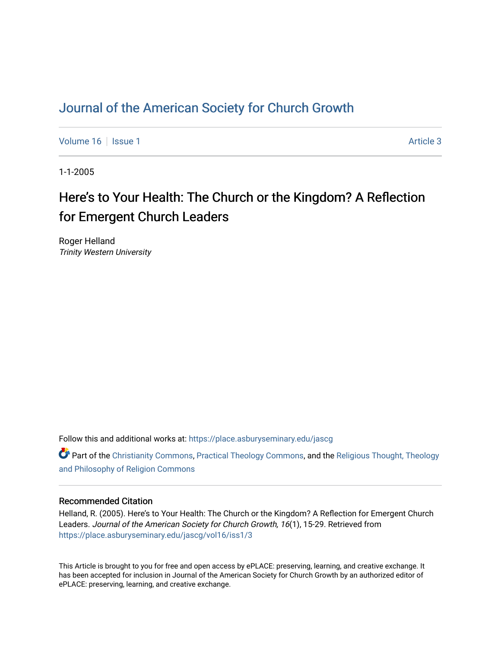# [Journal of the American Society for Church Growth](https://place.asburyseminary.edu/jascg)

[Volume 16](https://place.asburyseminary.edu/jascg/vol16) September 19 | [Issue 1](https://place.asburyseminary.edu/jascg/vol16/iss1) Article 3

1-1-2005

# Here's to Your Health: The Church or the Kingdom? A Reflection for Emergent Church Leaders

Roger Helland Trinity Western University

Follow this and additional works at: [https://place.asburyseminary.edu/jascg](https://place.asburyseminary.edu/jascg?utm_source=place.asburyseminary.edu%2Fjascg%2Fvol16%2Fiss1%2F3&utm_medium=PDF&utm_campaign=PDFCoverPages)

**C** Part of the [Christianity Commons,](https://network.bepress.com/hgg/discipline/1181?utm_source=place.asburyseminary.edu%2Fjascg%2Fvol16%2Fiss1%2F3&utm_medium=PDF&utm_campaign=PDFCoverPages) [Practical Theology Commons](https://network.bepress.com/hgg/discipline/1186?utm_source=place.asburyseminary.edu%2Fjascg%2Fvol16%2Fiss1%2F3&utm_medium=PDF&utm_campaign=PDFCoverPages), and the Religious Thought, Theology [and Philosophy of Religion Commons](https://network.bepress.com/hgg/discipline/544?utm_source=place.asburyseminary.edu%2Fjascg%2Fvol16%2Fiss1%2F3&utm_medium=PDF&utm_campaign=PDFCoverPages)

# Recommended Citation

Helland, R. (2005). Here's to Your Health: The Church or the Kingdom? A Reflection for Emergent Church Leaders. Journal of the American Society for Church Growth, 16(1), 15-29. Retrieved from [https://place.asburyseminary.edu/jascg/vol16/iss1/3](https://place.asburyseminary.edu/jascg/vol16/iss1/3?utm_source=place.asburyseminary.edu%2Fjascg%2Fvol16%2Fiss1%2F3&utm_medium=PDF&utm_campaign=PDFCoverPages) 

This Article is brought to you for free and open access by ePLACE: preserving, learning, and creative exchange. It has been accepted for inclusion in Journal of the American Society for Church Growth by an authorized editor of ePLACE: preserving, learning, and creative exchange.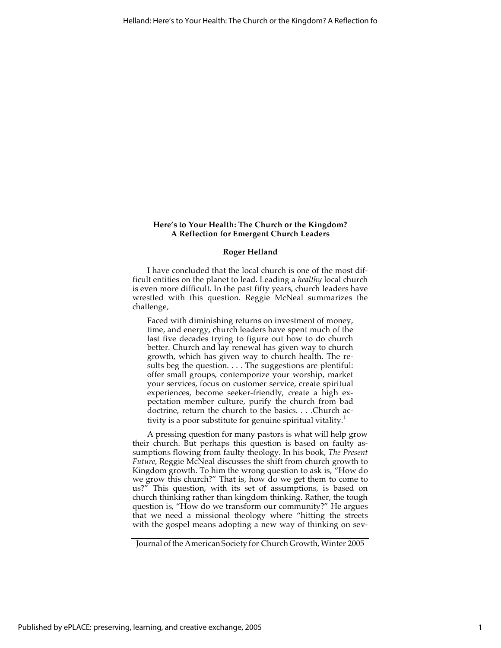## **Here's to Your Health: The Church or the Kingdom? A Reflection for Emergent Church Leaders**

#### **Roger Helland**

I have concluded that the local church is one of the most difficult entities on the planet to lead. Leading a *healthy* local church is even more difficult. In the past fifty years, church leaders have wrestled with this question. Reggie McNeal summarizes the challenge,

Faced with diminishing returns on investment of money, time, and energy, church leaders have spent much of the last five decades trying to figure out how to do church better. Church and lay renewal has given way to church growth, which has given way to church health. The results beg the question. . . . The suggestions are plentiful: offer small groups, contemporize your worship, market your services, focus on customer service, create spiritual experiences, become seeker-friendly, create a high expectation member culture, purify the church from bad doctrine, return the church to the basics. . . .Church activity is a poor substitute for genuine spiritual vitality. $<sup>1</sup>$ </sup>

A pressing question for many pastors is what will help grow their church. But perhaps this question is based on faulty assumptions flowing from faulty theology. In his book, *The Present Future*, Reggie McNeal discusses the shift from church growth to Kingdom growth. To him the wrong question to ask is, "How do we grow this church?" That is, how do we get them to come to us?" This question, with its set of assumptions, is based on church thinking rather than kingdom thinking. Rather, the tough question is, "How do we transform our community?" He argues that we need a missional theology where "hitting the streets with the gospel means adopting a new way of thinking on sev-

Journal of the American Society for Church Growth, Winter 2005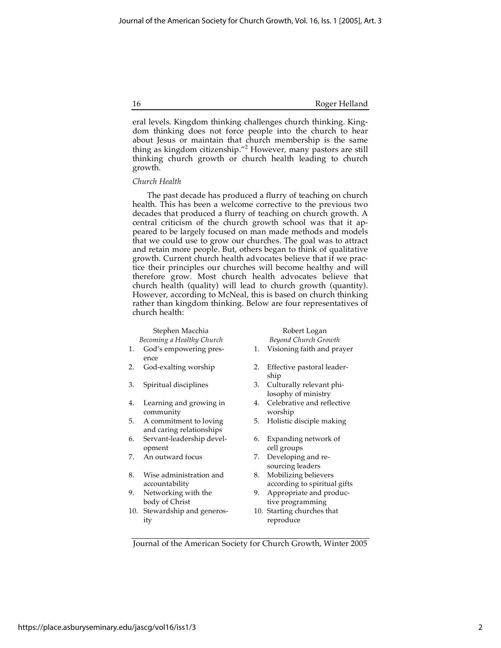eral levels. Kingdom thinking challenges church thinking. Kingdom thinking does not force people into the church to hear about Jesus or maintain that church membership is the same thing as kingdom citizenship."<sup>2</sup> However, many pastors are still thinking church growth or church health leading to church growth.

#### *Church Health*

The past decade has produced a flurry of teaching on church health. This has been a welcome corrective to the previous two decades that produced a flurry of teaching on church growth. A central criticism of the church growth school was that it appeared to be largely focused on man made methods and models that we could use to grow our churches. The goal was to attract and retain more people. But, others began to think of qualitative growth. Current church health advocates believe that if we practice their principles our churches will become healthy and will therefore grow. Most church health advocates believe that church health (quality) will lead to church growth (quantity). However, according to McNeal, this is based on church thinking rather than kingdom thinking. Below are four representatives of church health:

# Stephen Macchia Robert Logan *Becoming a Healthy Church Beyond Church Growth*

- 1. God's empowering presence
- 
- 
- 4. Learning and growing in community
- 5. A commitment to loving and caring relationships
- 6. Servant-leadership development
- 
- 8. Wise administration and accountability
- 9. Networking with the body of Christ
- 10. Stewardship and generosity

- 1. Visioning faith and prayer
- 2. God-exalting worship 2. Effective pastoral leadership
- 3. Spiritual disciplines 3. Culturally relevant philosophy of ministry
	- 4. Celebrative and reflective worship
	- 5. Holistic disciple making
	- 6. Expanding network of cell groups
- 7. An outward focus 7. Developing and resourcing leaders
	- 8. Mobilizing believers according to spiritual gifts
	- 9. Appropriate and productive programming
	- 10. Starting churches that reproduce

Journal of the American Society for Church Growth, Winter 2005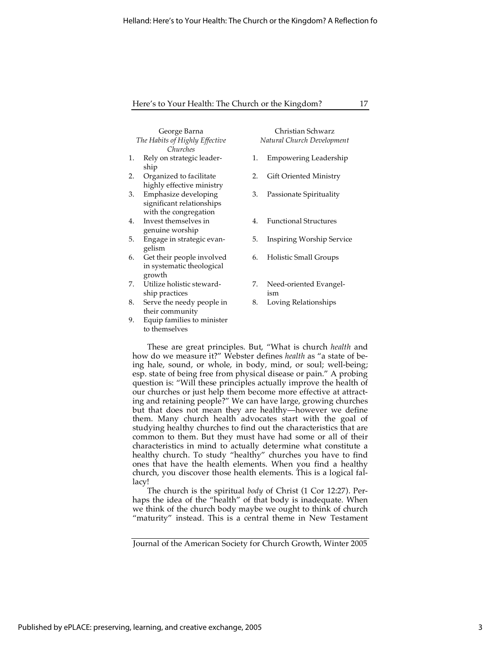| George Barna                   |
|--------------------------------|
| The Habits of Highly Effective |
| Churches                       |

- 1. Rely on strategic leadership
- 2. Organized to facilitate highly effective ministry
- 3. Emphasize developing significant relationships with the congregation
- 4. Invest themselves in genuine worship
- 5. Engage in strategic evangelism
- 6. Get their people involved in systematic theological growth
- 7. Utilize holistic stewardship practices
- 8. Serve the needy people in their community
- 9. Equip families to minister to themselves

Christian Schwarz *Natural Church Development*

- 1. Empowering Leadership
- 2. Gift Oriented Ministry
- 3. Passionate Spirituality
- 4. Functional Structures
- 5. Inspiring Worship Service
- 6. Holistic Small Groups
- 7. Need-oriented Evangelism
- 8. Loving Relationships

These are great principles. But, "What is church *health* and how do we measure it?" Webster defines *health* as "a state of being hale, sound, or whole, in body, mind, or soul; well-being; esp. state of being free from physical disease or pain." A probing question is: "Will these principles actually improve the health of our churches or just help them become more effective at attracting and retaining people?" We can have large, growing churches but that does not mean they are healthy—however we define them. Many church health advocates start with the goal of studying healthy churches to find out the characteristics that are common to them. But they must have had some or all of their characteristics in mind to actually determine what constitute a healthy church. To study "healthy" churches you have to find ones that have the health elements. When you find a healthy church, you discover those health elements. This is a logical fallacy!

The church is the spiritual *body* of Christ (1 Cor 12:27). Perhaps the idea of the "health" of that body is inadequate. When we think of the church body maybe we ought to think of church "maturity" instead. This is a central theme in New Testament

Journal of the American Society for Church Growth, Winter 2005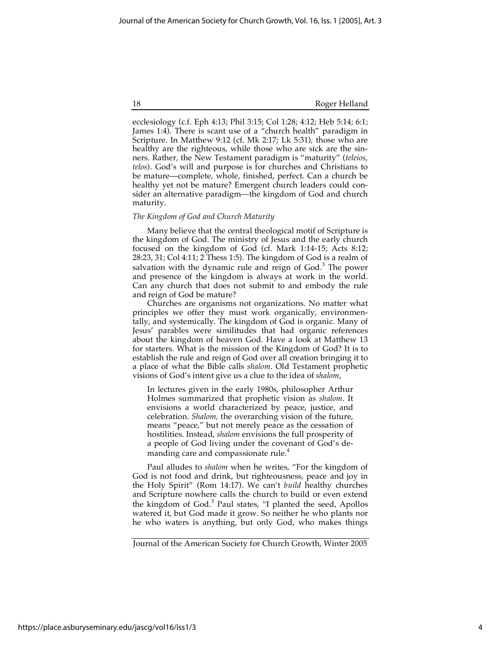ecclesiology (c.f. Eph 4:13; Phil 3:15; Col 1:28; 4:12; Heb 5:14; 6:1; James 1:4). There is scant use of a "church health" paradigm in Scripture. In Matthew 9:12 (cf. Mk 2:17; Lk 5:31), those who are healthy are the righteous, while those who are sick are the sinners. Rather, the New Testament paradigm is "maturity" (*teleios*, *telos*). God's will and purpose is for churches and Christians to be mature—complete, whole, finished, perfect. Can a church be healthy yet not be mature? Emergent church leaders could consider an alternative paradigm—the kingdom of God and church maturity.

#### *The Kingdom of God and Church Maturity*

Many believe that the central theological motif of Scripture is the kingdom of God. The ministry of Jesus and the early church focused on the kingdom of God (cf. Mark 1:14-15; Acts 8:12; 28:23, 31; Col 4:11; 2 Thess 1:5). The kingdom of God is a realm of salvation with the dynamic rule and reign of  $God.^3$  The power and presence of the kingdom is always at work in the world. Can any church that does not submit to and embody the rule and reign of God be mature?

Churches are organisms not organizations. No matter what principles we offer they must work organically, environmentally, and systemically. The kingdom of God is organic. Many of Jesus' parables were similitudes that had organic references about the kingdom of heaven God. Have a look at Matthew 13 for starters. What is the mission of the Kingdom of God? It is to establish the rule and reign of God over all creation bringing it to a place of what the Bible calls *shalom*. Old Testament prophetic visions of God's intent give us a clue to the idea of *shalom*,

In lectures given in the early 1980s, philosopher Arthur Holmes summarized that prophetic vision as *shalom*. It envisions a world characterized by peace, justice, and celebration. *Shalom,* the overarching vision of the future, means "peace," but not merely peace as the cessation of hostilities. Instead, *shalom* envisions the full prosperity of a people of God living under the covenant of God's demanding care and compassionate rule.<sup>4</sup>

Paul alludes to *shalom* when he writes, "For the kingdom of God is not food and drink, but righteousness, peace and joy in the Holy Spirit" (Rom 14:17). We can't *build* healthy churches and Scripture nowhere calls the church to build or even extend the kingdom of God.<sup>5</sup> Paul states, "I planted the seed, Apollos watered it, but God made it grow. So neither he who plants nor he who waters is anything, but only God, who makes things

https://place.asburyseminary.edu/jascg/vol16/iss1/3

Journal of the American Society for Church Growth, Winter 2005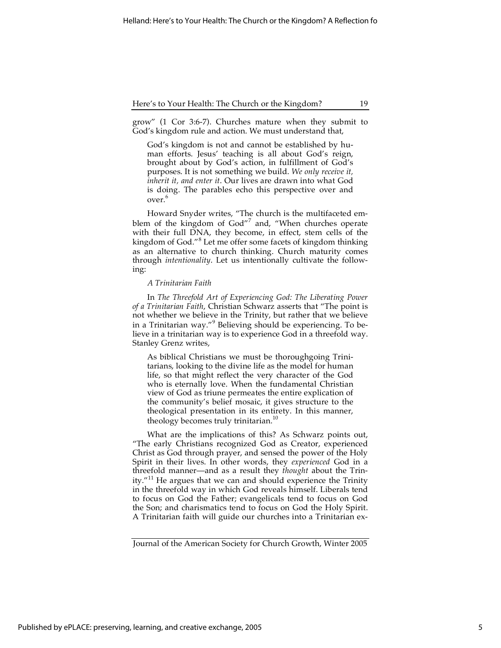grow" (1 Cor 3:6-7). Churches mature when they submit to God's kingdom rule and action. We must understand that,

God's kingdom is not and cannot be established by human efforts. Jesus' teaching is all about God's reign, brought about by God's action, in fulfillment of God's purposes. It is not something we build. *We only receive it, inherit it, and enter it*. Our lives are drawn into what God is doing. The parables echo this perspective over and over.<sup>6</sup>

Howard Snyder writes, "The church is the multifaceted emblem of the kingdom of God"<sup>7</sup> and, "When churches operate with their full DNA, they become, in effect, stem cells of the kingdom of God."<sup>8</sup> Let me offer some facets of kingdom thinking as an alternative to church thinking. Church maturity comes through *intentionality*. Let us intentionally cultivate the following:

#### *A Trinitarian Faith*

In *The Threefold Art of Experiencing God: The Liberating Power of a Trinitarian Faith*, Christian Schwarz asserts that "The point is not whether we believe in the Trinity, but rather that we believe in a Trinitarian way."<sup>9</sup> Believing should be experiencing. To believe in a trinitarian way is to experience God in a threefold way. Stanley Grenz writes,

As biblical Christians we must be thoroughgoing Trinitarians, looking to the divine life as the model for human life, so that might reflect the very character of the God who is eternally love. When the fundamental Christian view of God as triune permeates the entire explication of the community's belief mosaic, it gives structure to the theological presentation in its entirety. In this manner, theology becomes truly trinitarian.<sup>10</sup>

What are the implications of this? As Schwarz points out, "The early Christians recognized God as Creator, experienced Christ as God through prayer, and sensed the power of the Holy Spirit in their lives. In other words, they *experienced* God in a threefold manner—and as a result they *thought* about the Trinity." $11$  He argues that we can and should experience the Trinity in the threefold way in which God reveals himself. Liberals tend to focus on God the Father; evangelicals tend to focus on God the Son; and charismatics tend to focus on God the Holy Spirit. A Trinitarian faith will guide our churches into a Trinitarian ex-

Journal of the American Society for Church Growth, Winter 2005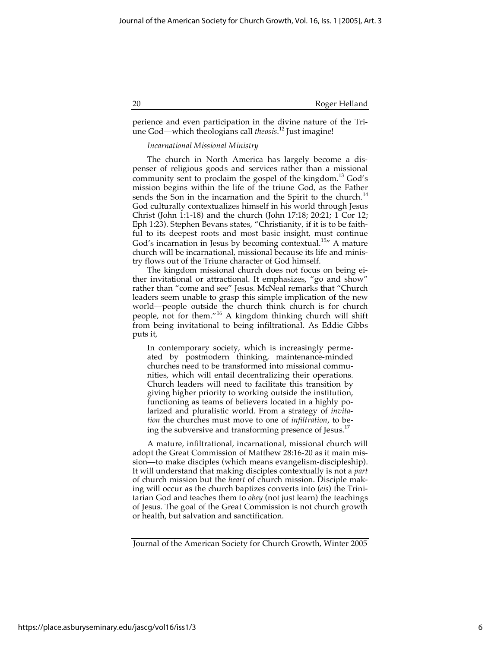perience and even participation in the divine nature of the Triune God—which theologians call *theosis*. 12 Just imagine!

# *Incarnational Missional Ministry*

The church in North America has largely become a dispenser of religious goods and services rather than a missional community sent to proclaim the gospel of the kingdom.<sup>13</sup> God's mission begins within the life of the triune God, as the Father sends the Son in the incarnation and the Spirit to the church.<sup>14</sup> God culturally contextualizes himself in his world through Jesus Christ (John 1:1-18) and the church (John 17:18; 20:21; 1 Cor 12; Eph 1:23). Stephen Bevans states, "Christianity, if it is to be faithful to its deepest roots and most basic insight, must continue God's incarnation in Jesus by becoming contextual.<sup>15</sup> A mature church will be incarnational, missional because its life and ministry flows out of the Triune character of God himself.

The kingdom missional church does not focus on being either invitational or attractional. It emphasizes, "go and show" rather than "come and see" Jesus. McNeal remarks that "Church leaders seem unable to grasp this simple implication of the new world—people outside the church think church is for church people, not for them."<sup>16</sup> A kingdom thinking church will shift from being invitational to being infiltrational. As Eddie Gibbs puts it,

In contemporary society, which is increasingly permeated by postmodern thinking, maintenance-minded churches need to be transformed into missional communities, which will entail decentralizing their operations. Church leaders will need to facilitate this transition by giving higher priority to working outside the institution, functioning as teams of believers located in a highly polarized and pluralistic world. From a strategy of *invitation* the churches must move to one of *infiltration*, to being the subversive and transforming presence of  $I$ esus.<sup>17</sup>

A mature, infiltrational, incarnational, missional church will adopt the Great Commission of Matthew 28:16-20 as it main mission—to make disciples (which means evangelism-discipleship). It will understand that making disciples contextually is not a *part* of church mission but the *heart* of church mission. Disciple making will occur as the church baptizes converts into (*eis*) the Trinitarian God and teaches them to *obey* (not just learn) the teachings of Jesus. The goal of the Great Commission is not church growth or health, but salvation and sanctification.

Journal of the American Society for Church Growth, Winter 2005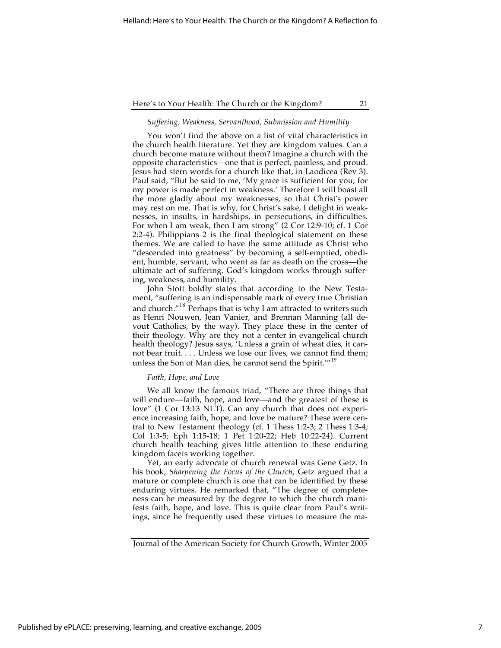#### *Suffering, Weakness, Servanthood, Submission and Humility*

You won't find the above on a list of vital characteristics in the church health literature. Yet they are kingdom values. Can a church become mature without them? Imagine a church with the opposite characteristics—one that is perfect, painless, and proud. Jesus had stern words for a church like that, in Laodicea (Rev 3). Paul said, "But he said to me, 'My grace is sufficient for you, for my power is made perfect in weakness.' Therefore I will boast all the more gladly about my weaknesses, so that Christ's power may rest on me. That is why, for Christ's sake, I delight in weaknesses, in insults, in hardships, in persecutions, in difficulties. For when I am weak, then I am strong" (2 Cor 12:9-10; cf. 1 Cor 2:2-4). Philippians 2 is the final theological statement on these themes. We are called to have the same attitude as Christ who "descended into greatness" by becoming a self-emptied, obedient, humble, servant, who went as far as death on the cross—the ultimate act of suffering. God's kingdom works through suffering, weakness, and humility.

John Stott boldly states that according to the New Testament, "suffering is an indispensable mark of every true Christian and church."<sup>18</sup> Perhaps that is why I am attracted to writers such as Henri Nouwen, Jean Vanier, and Brennan Manning (all devout Catholics, by the way). They place these in the center of their theology. Why are they not a center in evangelical church health theology? Jesus says, 'Unless a grain of wheat dies, it cannot bear fruit.... Unless we lose our lives, we cannot find them; unless the Son of Man dies, he cannot send the Spirit.'"<sup>19</sup>

#### *Faith, Hope, and Love*

We all know the famous triad, "There are three things that will endure—faith, hope, and love—and the greatest of these is love" (1 Cor 13:13 NLT). Can any church that does not experience increasing faith, hope, and love be mature? These were central to New Testament theology (cf. 1 Thess 1:2-3; 2 Thess 1:3-4; Col 1:3-5; Eph 1:15-18; 1 Pet 1:20-22; Heb 10:22-24). Current church health teaching gives little attention to these enduring kingdom facets working together.

Yet, an early advocate of church renewal was Gene Getz. In his book, *Sharpening the Focus of the Church*, Getz argued that a mature or complete church is one that can be identified by these enduring virtues. He remarked that, "The degree of completeness can be measured by the degree to which the church manifests faith, hope, and love. This is quite clear from Paul's writings, since he frequently used these virtues to measure the ma-

Journal of the American Society for Church Growth, Winter 2005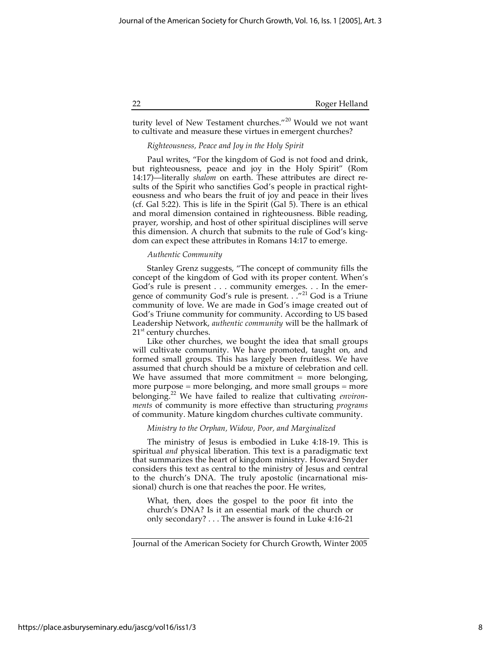turity level of New Testament churches."20 Would we not want to cultivate and measure these virtues in emergent churches?

#### *Righteousness, Peace and Joy in the Holy Spirit*

Paul writes, "For the kingdom of God is not food and drink, but righteousness, peace and joy in the Holy Spirit" (Rom 14:17)—literally *shalom* on earth. These attributes are direct results of the Spirit who sanctifies God's people in practical righteousness and who bears the fruit of joy and peace in their lives (cf. Gal 5:22). This is life in the Spirit (Gal 5). There is an ethical and moral dimension contained in righteousness. Bible reading, prayer, worship, and host of other spiritual disciplines will serve this dimension. A church that submits to the rule of God's kingdom can expect these attributes in Romans 14:17 to emerge.

#### *Authentic Community*

Stanley Grenz suggests, "The concept of community fills the concept of the kingdom of God with its proper content. When's God's rule is present . . . community emerges. . . In the emergence of community God's rule is present. . ."<sup>21</sup> God is a Triune community of love. We are made in God's image created out of God's Triune community for community. According to US based Leadership Network, *authentic community* will be the hallmark of  $21<sup>st</sup>$  century churches.

Like other churches, we bought the idea that small groups will cultivate community. We have promoted, taught on, and formed small groups. This has largely been fruitless. We have assumed that church should be a mixture of celebration and cell. We have assumed that more commitment  $=$  more belonging, more purpose = more belonging, and more small groups = more belonging.22 We have failed to realize that cultivating *environments* of community is more effective than structuring *programs* of community. Mature kingdom churches cultivate community.

#### *Ministry to the Orphan, Widow, Poor, and Marginalized*

The ministry of Jesus is embodied in Luke 4:18-19. This is spiritual *and* physical liberation. This text is a paradigmatic text that summarizes the heart of kingdom ministry. Howard Snyder considers this text as central to the ministry of Jesus and central to the church's DNA. The truly apostolic (incarnational missional) church is one that reaches the poor. He writes,

What, then, does the gospel to the poor fit into the church's DNA? Is it an essential mark of the church or only secondary? . . . The answer is found in Luke 4:16-21

Journal of the American Society for Church Growth, Winter 2005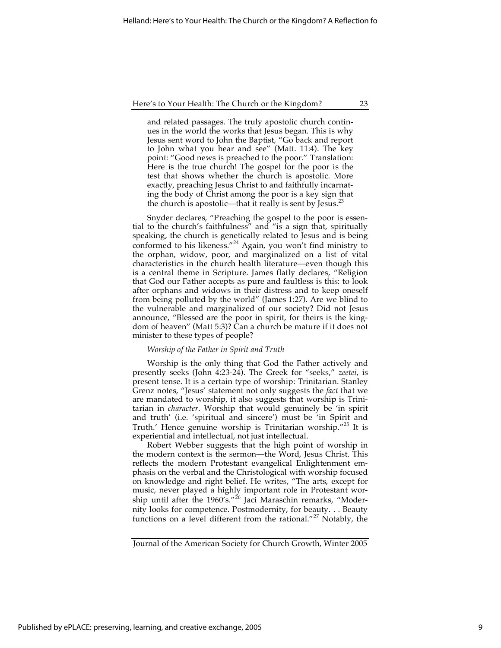and related passages. The truly apostolic church continues in the world the works that Jesus began. This is why Jesus sent word to John the Baptist, "Go back and report to John what you hear and see" (Matt. 11:4). The key point: "Good news is preached to the poor." Translation: Here is the true church! The gospel for the poor is the test that shows whether the church is apostolic. More exactly, preaching Jesus Christ to and faithfully incarnating the body of Christ among the poor is a key sign that the church is apostolic—that it really is sent by Jesus.<sup>23</sup>

Snyder declares, "Preaching the gospel to the poor is essential to the church's faithfulness" and "is a sign that, spiritually speaking, the church is genetically related to Jesus and is being conformed to his likeness."24 Again, you won't find ministry to the orphan, widow, poor, and marginalized on a list of vital characteristics in the church health literature—even though this is a central theme in Scripture. James flatly declares, "Religion that God our Father accepts as pure and faultless is this: to look after orphans and widows in their distress and to keep oneself from being polluted by the world" (James 1:27). Are we blind to the vulnerable and marginalized of our society? Did not Jesus announce, "Blessed are the poor in spirit, for theirs is the kingdom of heaven" (Matt 5:3)? Can a church be mature if it does not minister to these types of people?

#### *Worship of the Father in Spirit and Truth*

Worship is the only thing that God the Father actively and presently seeks (John 4:23-24). The Greek for "seeks," *zeetei*, is present tense. It is a certain type of worship: Trinitarian. Stanley Grenz notes, "Jesus' statement not only suggests the *fact* that we are mandated to worship, it also suggests that worship is Trinitarian in *character*. Worship that would genuinely be 'in spirit and truth' (i.e. 'spiritual and sincere') must be 'in Spirit and Truth.' Hence genuine worship is Trinitarian worship."<sup>25</sup> It is experiential and intellectual, not just intellectual.

Robert Webber suggests that the high point of worship in the modern context is the sermon—the Word, Jesus Christ. This reflects the modern Protestant evangelical Enlightenment emphasis on the verbal and the Christological with worship focused on knowledge and right belief. He writes, "The arts, except for music, never played a highly important role in Protestant worship until after the 1960's."<sup>26</sup> Jaci Maraschin remarks, "Modernity looks for competence. Postmodernity, for beauty. . . Beauty functions on a level different from the rational."<sup>27</sup> Notably, the

Journal of the American Society for Church Growth, Winter 2005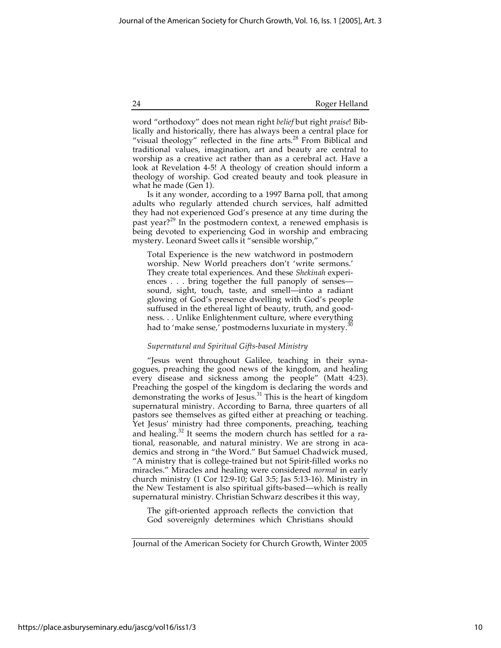word "orthodoxy" does not mean right *belief* but right *praise*! Biblically and historically, there has always been a central place for "visual theology" reflected in the fine arts. $28$  From Biblical and traditional values, imagination, art and beauty are central to worship as a creative act rather than as a cerebral act. Have a look at Revelation 4-5! A theology of creation should inform a theology of worship. God created beauty and took pleasure in what he made (Gen 1).

Is it any wonder, according to a 1997 Barna poll, that among adults who regularly attended church services, half admitted they had not experienced God's presence at any time during the past year?<sup>29</sup> In the postmodern context, a renewed emphasis is being devoted to experiencing God in worship and embracing mystery. Leonard Sweet calls it "sensible worship,"

Total Experience is the new watchword in postmodern worship. New World preachers don't 'write sermons.' They create total experiences. And these *Shekinah* experiences . . . bring together the full panoply of senses sound, sight, touch, taste, and smell—into a radiant glowing of God's presence dwelling with God's people suffused in the ethereal light of beauty, truth, and goodness. . . Unlike Enlightenment culture, where everything had to 'make sense,' postmoderns luxuriate in mystery.<sup>3</sup>

#### *Supernatural and Spiritual Gifts-based Ministry*

"Jesus went throughout Galilee, teaching in their synagogues, preaching the good news of the kingdom, and healing every disease and sickness among the people" (Matt 4:23). Preaching the gospel of the kingdom is declaring the words and demonstrating the works of Jesus.31 This is the heart of kingdom supernatural ministry. According to Barna, three quarters of all pastors see themselves as gifted either at preaching or teaching. Yet Jesus' ministry had three components, preaching, teaching and healing.<sup>32</sup> It seems the modern church has settled for a rational, reasonable, and natural ministry. We are strong in academics and strong in "the Word." But Samuel Chadwick mused, "A ministry that is college-trained but not Spirit-filled works no miracles." Miracles and healing were considered *normal* in early church ministry (1 Cor 12:9-10; Gal 3:5; Jas 5:13-16). Ministry in the New Testament is also spiritual gifts-based—which is really supernatural ministry. Christian Schwarz describes it this way,

The gift-oriented approach reflects the conviction that God sovereignly determines which Christians should

Journal of the American Society for Church Growth, Winter 2005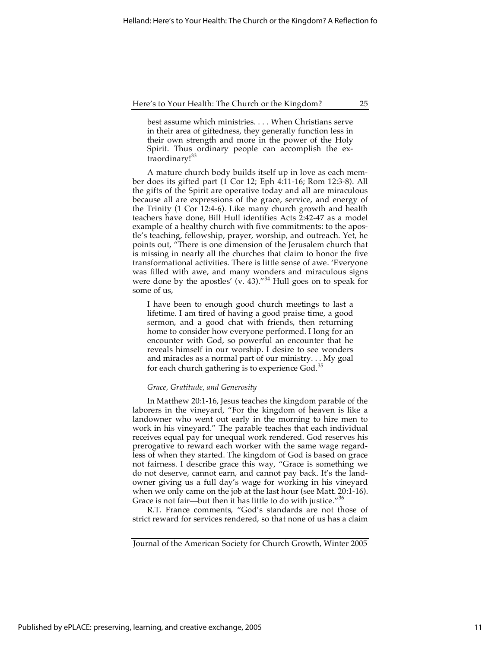best assume which ministries. . . . When Christians serve in their area of giftedness, they generally function less in their own strength and more in the power of the Holy Spirit. Thus ordinary people can accomplish the extraordinary!<sup>33</sup>

A mature church body builds itself up in love as each member does its gifted part (1 Cor 12; Eph 4:11-16; Rom 12:3-8). All the gifts of the Spirit are operative today and all are miraculous because all are expressions of the grace, service, and energy of the Trinity (1 Cor 12:4-6). Like many church growth and health teachers have done, Bill Hull identifies Acts 2:42-47 as a model example of a healthy church with five commitments: to the apostle's teaching, fellowship, prayer, worship, and outreach. Yet, he points out, "There is one dimension of the Jerusalem church that is missing in nearly all the churches that claim to honor the five transformational activities. There is little sense of awe. 'Everyone was filled with awe, and many wonders and miraculous signs were done by the apostles' (v. 43). $134$  Hull goes on to speak for some of us,

I have been to enough good church meetings to last a lifetime. I am tired of having a good praise time, a good sermon, and a good chat with friends, then returning home to consider how everyone performed. I long for an encounter with God, so powerful an encounter that he reveals himself in our worship. I desire to see wonders and miracles as a normal part of our ministry. . . My goal for each church gathering is to experience God.<sup>35</sup>

### *Grace, Gratitude, and Generosity*

In Matthew 20:1-16, Jesus teaches the kingdom parable of the laborers in the vineyard, "For the kingdom of heaven is like a landowner who went out early in the morning to hire men to work in his vineyard." The parable teaches that each individual receives equal pay for unequal work rendered. God reserves his prerogative to reward each worker with the same wage regardless of when they started. The kingdom of God is based on grace not fairness. I describe grace this way, "Grace is something we do not deserve, cannot earn, and cannot pay back. It's the landowner giving us a full day's wage for working in his vineyard when we only came on the job at the last hour (see Matt. 20:1-16). Grace is not fair—but then it has little to do with justice."<sup>36</sup>

R.T. France comments, "God's standards are not those of strict reward for services rendered, so that none of us has a claim

Journal of the American Society for Church Growth, Winter 2005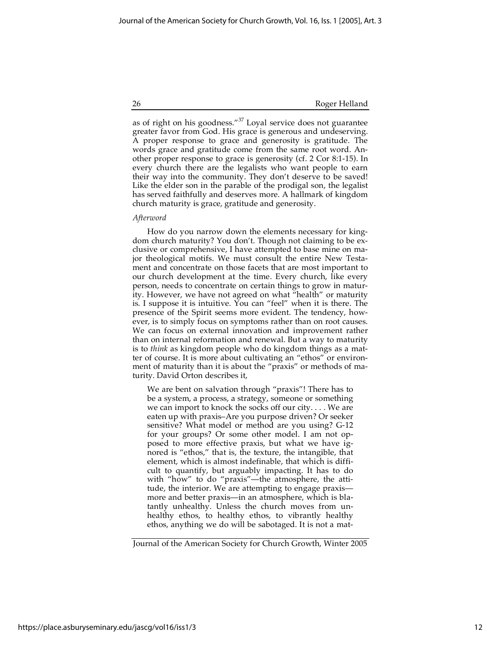as of right on his goodness."37 Loyal service does not guarantee greater favor from God. His grace is generous and undeserving. A proper response to grace and generosity is gratitude. The words grace and gratitude come from the same root word. Another proper response to grace is generosity (cf. 2 Cor 8:1-15). In every church there are the legalists who want people to earn their way into the community. They don't deserve to be saved! Like the elder son in the parable of the prodigal son, the legalist has served faithfully and deserves more. A hallmark of kingdom church maturity is grace, gratitude and generosity.

#### *Afterword*

How do you narrow down the elements necessary for kingdom church maturity? You don't. Though not claiming to be exclusive or comprehensive, I have attempted to base mine on major theological motifs. We must consult the entire New Testament and concentrate on those facets that are most important to our church development at the time. Every church, like every person, needs to concentrate on certain things to grow in maturity. However, we have not agreed on what "health" or maturity is. I suppose it is intuitive. You can "feel" when it is there. The presence of the Spirit seems more evident. The tendency, however, is to simply focus on symptoms rather than on root causes. We can focus on external innovation and improvement rather than on internal reformation and renewal. But a way to maturity is to *think* as kingdom people who do kingdom things as a matter of course. It is more about cultivating an "ethos" or environment of maturity than it is about the "praxis" or methods of maturity. David Orton describes it,

We are bent on salvation through "praxis"! There has to be a system, a process, a strategy, someone or something we can import to knock the socks off our city. . . . We are eaten up with praxis–Are you purpose driven? Or seeker sensitive? What model or method are you using? G-12 for your groups? Or some other model. I am not opposed to more effective praxis, but what we have ignored is "ethos," that is, the texture, the intangible, that element, which is almost indefinable, that which is difficult to quantify, but arguably impacting. It has to do with "how" to do "praxis"—the atmosphere, the attitude, the interior. We are attempting to engage praxis more and better praxis—in an atmosphere, which is blatantly unhealthy. Unless the church moves from unhealthy ethos, to healthy ethos, to vibrantly healthy ethos, anything we do will be sabotaged. It is not a mat-

Journal of the American Society for Church Growth, Winter 2005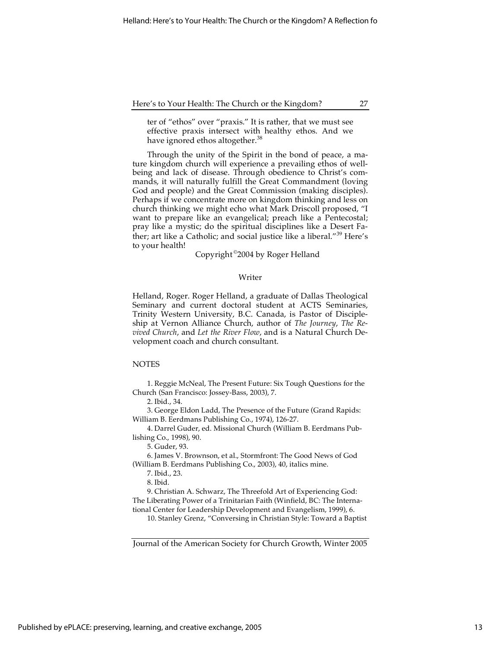ter of "ethos" over "praxis." It is rather, that we must see effective praxis intersect with healthy ethos. And we have ignored ethos altogether.<sup>38</sup>

Through the unity of the Spirit in the bond of peace, a mature kingdom church will experience a prevailing ethos of wellbeing and lack of disease. Through obedience to Christ's commands, it will naturally fulfill the Great Commandment (loving God and people) and the Great Commission (making disciples). Perhaps if we concentrate more on kingdom thinking and less on church thinking we might echo what Mark Driscoll proposed, "I want to prepare like an evangelical; preach like a Pentecostal; pray like a mystic; do the spiritual disciplines like a Desert Father; art like a Catholic; and social justice like a liberal."<sup>39</sup> Here's to your health!

Copyright ©2004 by Roger Helland

#### Writer

Helland, Roger. Roger Helland, a graduate of Dallas Theological Seminary and current doctoral student at ACTS Seminaries, Trinity Western University, B.C. Canada, is Pastor of Discipleship at Vernon Alliance Church, author of *The Journey*, *The Revived Church*, and *Let the River Flow*, and is a Natural Church Development coach and church consultant.

#### **NOTES**

1. Reggie McNeal, The Present Future: Six Tough Questions for the Church (San Francisco: Jossey-Bass, 2003), 7.

2. Ibid., 34.

3. George Eldon Ladd, The Presence of the Future (Grand Rapids: William B. Eerdmans Publishing Co., 1974), 126-27.

4. Darrel Guder, ed. Missional Church (William B. Eerdmans Publishing Co., 1998), 90.

5. Guder, 93.

6. James V. Brownson, et al., Stormfront: The Good News of God (William B. Eerdmans Publishing Co., 2003), 40, italics mine.

7. Ibid., 23.

8. Ibid.

9. Christian A. Schwarz, The Threefold Art of Experiencing God: The Liberating Power of a Trinitarian Faith (Winfield, BC: The International Center for Leadership Development and Evangelism, 1999), 6.

10. Stanley Grenz, "Conversing in Christian Style: Toward a Baptist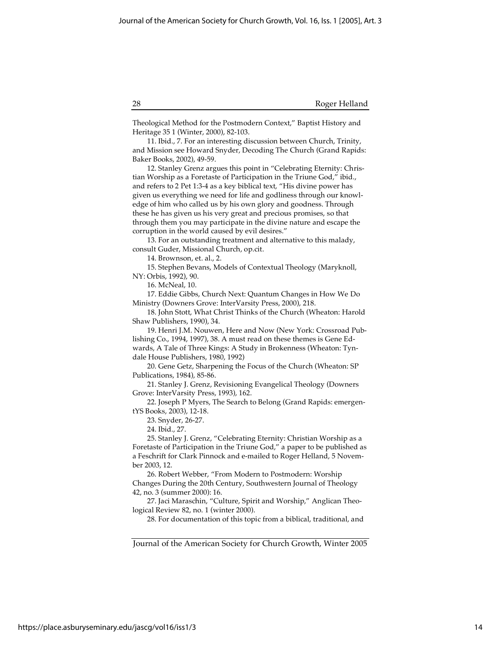Theological Method for the Postmodern Context," Baptist History and Heritage 35 1 (Winter, 2000), 82-103.

11. Ibid., 7. For an interesting discussion between Church, Trinity, and Mission see Howard Snyder, Decoding The Church (Grand Rapids: Baker Books, 2002), 49-59.

12. Stanley Grenz argues this point in "Celebrating Eternity: Christian Worship as a Foretaste of Participation in the Triune God," ibid., and refers to 2 Pet 1:3-4 as a key biblical text, "His divine power has given us everything we need for life and godliness through our knowledge of him who called us by his own glory and goodness. Through these he has given us his very great and precious promises, so that through them you may participate in the divine nature and escape the corruption in the world caused by evil desires."

13. For an outstanding treatment and alternative to this malady, consult Guder, Missional Church, op.cit.

14. Brownson, et. al., 2.

15. Stephen Bevans, Models of Contextual Theology (Maryknoll, NY: Orbis, 1992), 90.

16. McNeal, 10.

17. Eddie Gibbs, Church Next: Quantum Changes in How We Do Ministry (Downers Grove: InterVarsity Press, 2000), 218.

18. John Stott, What Christ Thinks of the Church (Wheaton: Harold Shaw Publishers, 1990), 34.

19. Henri J.M. Nouwen, Here and Now (New York: Crossroad Publishing Co., 1994, 1997), 38. A must read on these themes is Gene Ed-

wards, A Tale of Three Kings: A Study in Brokenness (Wheaton: Tyndale House Publishers, 1980, 1992)

20. Gene Getz, Sharpening the Focus of the Church (Wheaton: SP Publications, 1984), 85-86.

21. Stanley J. Grenz, Revisioning Evangelical Theology (Downers Grove: InterVarsity Press, 1993), 162.

22. Joseph P Myers, The Search to Belong (Grand Rapids: emergentYS Books, 2003), 12-18.

23. Snyder, 26-27.

24. Ibid., 27.

25. Stanley J. Grenz, "Celebrating Eternity: Christian Worship as a Foretaste of Participation in the Triune God," a paper to be published as a Feschrift for Clark Pinnock and e-mailed to Roger Helland, 5 November 2003, 12.

26. Robert Webber, "From Modern to Postmodern: Worship Changes During the 20th Century, Southwestern Journal of Theology 42, no. 3 (summer 2000): 16.

27. Jaci Maraschin, "Culture, Spirit and Worship," Anglican Theological Review 82, no. 1 (winter 2000).

28. For documentation of this topic from a biblical, traditional, and

Journal of the American Society for Church Growth, Winter 2005